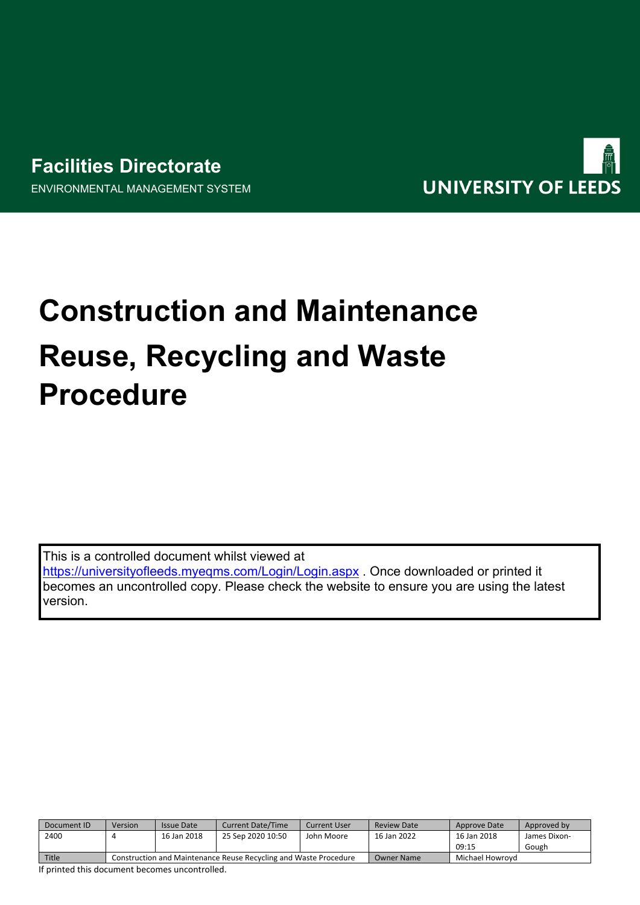# **Facilities Directorate** ENVIRONMENTAL MANAGEMENT SYSTEM



# **Construction and Maintenance Reuse, Recycling and Waste Procedure**

This is a controlled document whilst viewed at <https://universityofleeds.myeqms.com/Login/Login.aspx> . Once downloaded or printed it becomes an uncontrolled copy. Please check the website to ensure you are using the latest

| Document ID | Version                                                          | Issue Date  | <b>Current Date/Time</b> | Current User | Review Date | Approve Date    | Approved by  |
|-------------|------------------------------------------------------------------|-------------|--------------------------|--------------|-------------|-----------------|--------------|
| 2400        |                                                                  | 16 Jan 2018 | 25 Sep 2020 10:50        | John Moore   | 16 Jan 2022 | 16 Jan 2018     | James Dixon- |
|             |                                                                  |             |                          |              |             | 09:15           | Gough        |
| Title       | Construction and Maintenance Reuse Recycling and Waste Procedure |             |                          |              | Owner Name  | Michael Howrovd |              |

If printed this document becomes uncontrolled.

version.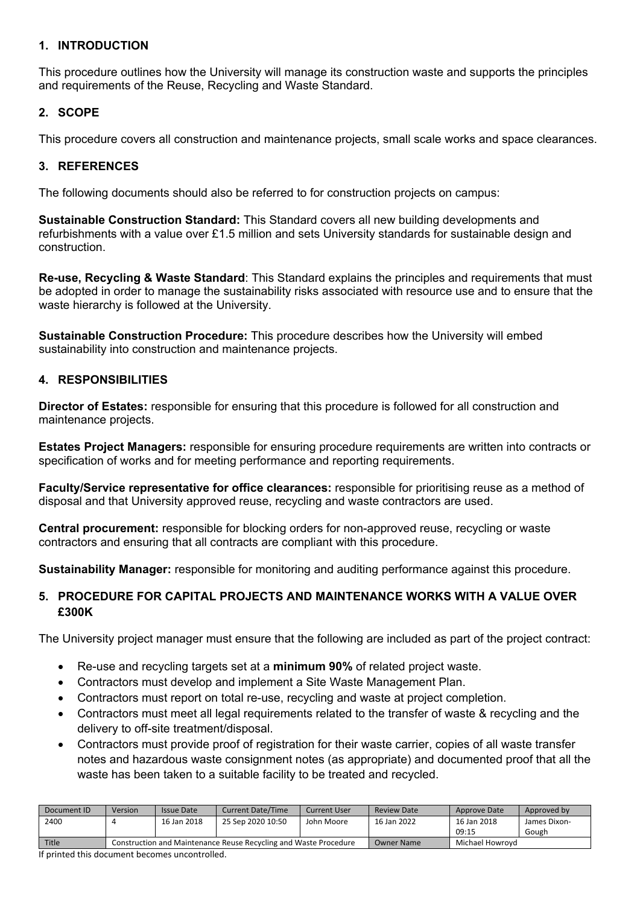#### **1. INTRODUCTION**

This procedure outlines how the University will manage its construction waste and supports the principles and requirements of the Reuse, Recycling and Waste Standard.

#### **2. SCOPE**

This procedure covers all construction and maintenance projects, small scale works and space clearances.

#### **3. REFERENCES**

The following documents should also be referred to for construction projects on campus:

**Sustainable Construction Standard:** This Standard covers all new building developments and refurbishments with a value over £1.5 million and sets University standards for sustainable design and construction.

**Re-use, Recycling & Waste Standard**: This Standard explains the principles and requirements that must be adopted in order to manage the sustainability risks associated with resource use and to ensure that the waste hierarchy is followed at the University.

**Sustainable Construction Procedure:** This procedure describes how the University will embed sustainability into construction and maintenance projects.

#### **4. RESPONSIBILITIES**

**Director of Estates:** responsible for ensuring that this procedure is followed for all construction and maintenance projects.

**Estates Project Managers:** responsible for ensuring procedure requirements are written into contracts or specification of works and for meeting performance and reporting requirements.

**Faculty/Service representative for office clearances:** responsible for prioritising reuse as a method of disposal and that University approved reuse, recycling and waste contractors are used.

**Central procurement:** responsible for blocking orders for non-approved reuse, recycling or waste contractors and ensuring that all contracts are compliant with this procedure.

**Sustainability Manager:** responsible for monitoring and auditing performance against this procedure.

## **5. PROCEDURE FOR CAPITAL PROJECTS AND MAINTENANCE WORKS WITH A VALUE OVER £300K**

The University project manager must ensure that the following are included as part of the project contract:

- Re-use and recycling targets set at a **minimum 90%** of related project waste.
- Contractors must develop and implement a Site Waste Management Plan.
- Contractors must report on total re-use, recycling and waste at project completion.
- Contractors must meet all legal requirements related to the transfer of waste & recycling and the delivery to off-site treatment/disposal.
- Contractors must provide proof of registration for their waste carrier, copies of all waste transfer notes and hazardous waste consignment notes (as appropriate) and documented proof that all the waste has been taken to a suitable facility to be treated and recycled.

| Document ID | Version                                                          | <b>Issue Date</b> | <b>Current Date/Time</b> | <b>Current User</b> | <b>Review Date</b> | Approve Date    | Approved by  |
|-------------|------------------------------------------------------------------|-------------------|--------------------------|---------------------|--------------------|-----------------|--------------|
| 2400        |                                                                  | 16 Jan 2018       | 25 Sep 2020 10:50        | John Moore          | 16 Jan 2022        | 16 Jan 2018     | James Dixon- |
|             |                                                                  |                   |                          |                     |                    | 09:15           | Gough        |
| Title       | Construction and Maintenance Reuse Recycling and Waste Procedure |                   |                          |                     | <b>Owner Name</b>  | Michael Howrovd |              |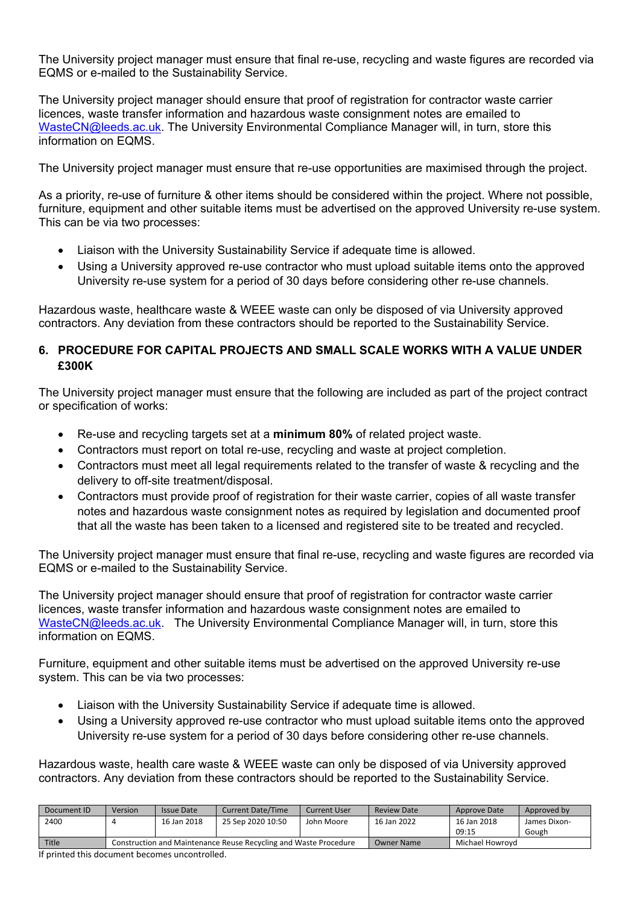The University project manager must ensure that final re-use, recycling and waste figures are recorded via EQMS or e-mailed to the Sustainability Service.

The University project manager should ensure that proof of registration for contractor waste carrier licences, waste transfer information and hazardous waste consignment notes are emailed to [WasteCN@leeds.ac.uk.](mailto:WasteCN@leeds.ac.uk) The University Environmental Compliance Manager will, in turn, store this information on EQMS.

The University project manager must ensure that re-use opportunities are maximised through the project.

As a priority, re-use of furniture & other items should be considered within the project. Where not possible, furniture, equipment and other suitable items must be advertised on the approved University re-use system. This can be via two processes:

- Liaison with the University Sustainability Service if adequate time is allowed.
- Using a University approved re-use contractor who must upload suitable items onto the approved University re-use system for a period of 30 days before considering other re-use channels.

Hazardous waste, healthcare waste & WEEE waste can only be disposed of via University approved contractors. Any deviation from these contractors should be reported to the Sustainability Service.

#### **6. PROCEDURE FOR CAPITAL PROJECTS AND SMALL SCALE WORKS WITH A VALUE UNDER £300K**

The University project manager must ensure that the following are included as part of the project contract or specification of works:

- Re-use and recycling targets set at a **minimum 80%** of related project waste.
- Contractors must report on total re-use, recycling and waste at project completion.
- Contractors must meet all legal requirements related to the transfer of waste & recycling and the delivery to off-site treatment/disposal.
- Contractors must provide proof of registration for their waste carrier, copies of all waste transfer notes and hazardous waste consignment notes as required by legislation and documented proof that all the waste has been taken to a licensed and registered site to be treated and recycled.

The University project manager must ensure that final re-use, recycling and waste figures are recorded via EQMS or e-mailed to the Sustainability Service.

The University project manager should ensure that proof of registration for contractor waste carrier licences, waste transfer information and hazardous waste consignment notes are emailed to [WasteCN@leeds.ac.uk.](mailto:WasteCN@leeds.ac.uk) The University Environmental Compliance Manager will, in turn, store this information on EQMS.

Furniture, equipment and other suitable items must be advertised on the approved University re-use system. This can be via two processes:

- Liaison with the University Sustainability Service if adequate time is allowed.
- Using a University approved re-use contractor who must upload suitable items onto the approved University re-use system for a period of 30 days before considering other re-use channels.

Hazardous waste, health care waste & WEEE waste can only be disposed of via University approved contractors. Any deviation from these contractors should be reported to the Sustainability Service.

| Document ID  | Version                                                          | Issue Date  | <b>Current Date/Time</b> | Current User | <b>Review Date</b> | Approve Date    | Approved by  |
|--------------|------------------------------------------------------------------|-------------|--------------------------|--------------|--------------------|-----------------|--------------|
| 2400         |                                                                  | 16 Jan 2018 | 25 Sep 2020 10:50        | John Moore   | 16 Jan 2022        | 16 Jan 2018     | James Dixon- |
|              |                                                                  |             |                          |              |                    | 09:15           | Gough        |
| <b>Title</b> | Construction and Maintenance Reuse Recycling and Waste Procedure |             |                          |              | Owner Name         | Michael Howrovd |              |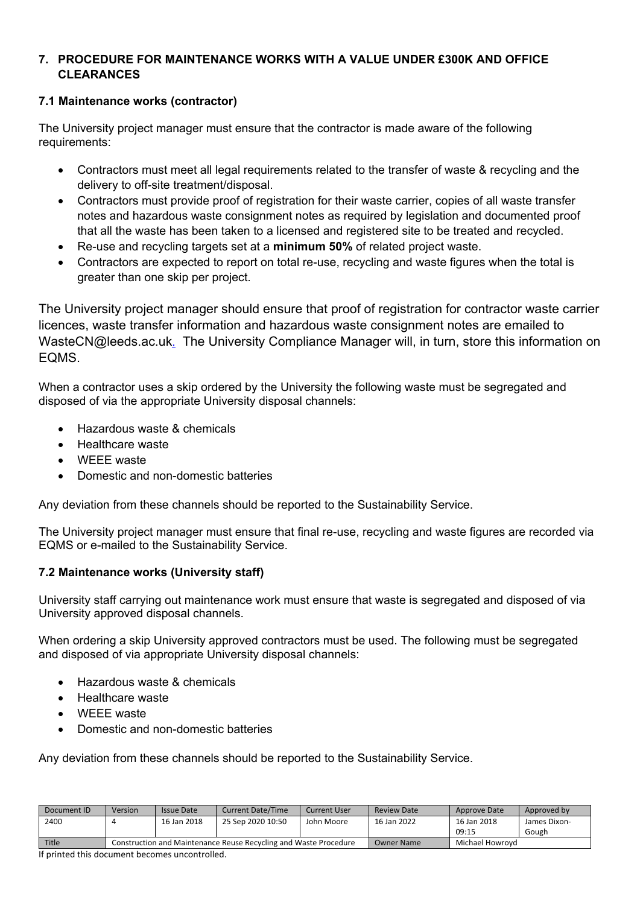## **7. PROCEDURE FOR MAINTENANCE WORKS WITH A VALUE UNDER £300K AND OFFICE CLEARANCES**

## **7.1 Maintenance works (contractor)**

The University project manager must ensure that the contractor is made aware of the following requirements:

- Contractors must meet all legal requirements related to the transfer of waste & recycling and the delivery to off-site treatment/disposal.
- Contractors must provide proof of registration for their waste carrier, copies of all waste transfer notes and hazardous waste consignment notes as required by legislation and documented proof that all the waste has been taken to a licensed and registered site to be treated and recycled.
- Re-use and recycling targets set at a **minimum 50%** of related project waste.
- Contractors are expected to report on total re-use, recycling and waste figures when the total is greater than one skip per project.

The University project manager should ensure that proof of registration for contractor waste carrier licences, waste transfer information and hazardous waste consignment notes are emailed to WasteCN@leeds.ac.uk[.](mailto:safety@leeds.ac.uk) The University Compliance Manager will, in turn, store this information on EQMS.

When a contractor uses a skip ordered by the University the following waste must be segregated and disposed of via the appropriate University disposal channels:

- Hazardous waste & chemicals
- Healthcare waste
- WEEE waste
- Domestic and non-domestic batteries

Any deviation from these channels should be reported to the Sustainability Service.

The University project manager must ensure that final re-use, recycling and waste figures are recorded via EQMS or e-mailed to the Sustainability Service.

## **7.2 Maintenance works (University staff)**

University staff carrying out maintenance work must ensure that waste is segregated and disposed of via University approved disposal channels.

When ordering a skip University approved contractors must be used. The following must be segregated and disposed of via appropriate University disposal channels:

- Hazardous waste & chemicals
- Healthcare waste
- WEEE waste
- Domestic and non-domestic batteries

Any deviation from these channels should be reported to the Sustainability Service.

| Document ID | Version                                                          | <b>Issue Date</b> | <b>Current Date/Time</b> | <b>Current User</b> | Review Date | Approve Date    | Approved by  |
|-------------|------------------------------------------------------------------|-------------------|--------------------------|---------------------|-------------|-----------------|--------------|
| 2400        |                                                                  | 16 Jan 2018       | 25 Sep 2020 10:50        | John Moore          | 16 Jan 2022 | 16 Jan 2018     | James Dixon- |
|             |                                                                  |                   |                          |                     |             | 09:15           | Gough        |
| Title       | Construction and Maintenance Reuse Recycling and Waste Procedure |                   |                          |                     | Owner Name  | Michael Howrovd |              |